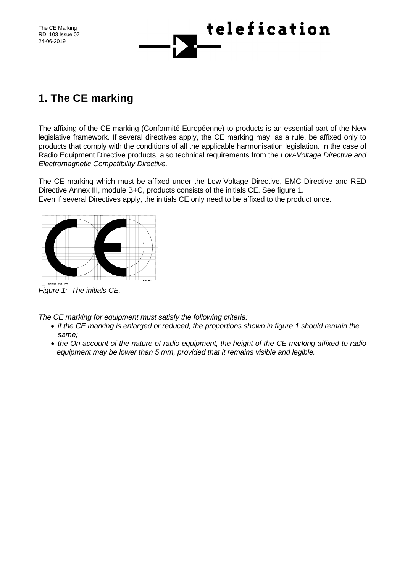RD\_103 Issue 07 24-06-2019



## **1. The CE marking**

The affixing of the CE marking (Conformité Européenne) to products is an essential part of the New legislative framework. If several directives apply, the CE marking may, as a rule, be affixed only to products that comply with the conditions of all the applicable harmonisation legislation. In the case of Radio Equipment Directive products, also technical requirements from the *Low-Voltage Directive and Electromagnetic Compatibility Directive.*

The CE marking which must be affixed under the Low-Voltage Directive, EMC Directive and RED Directive Annex III, module B+C, products consists of the initials CE. See figure 1. Even if several Directives apply, the initials CE only need to be affixed to the product once.



*Figure 1: The initials CE.*

*The CE marking for equipment must satisfy the following criteria:*

- *if the CE marking is enlarged or reduced, the proportions shown in figure 1 should remain the same;*
- *the On account of the nature of radio equipment, the height of the CE marking affixed to radio equipment may be lower than 5 mm, provided that it remains visible and legible.*